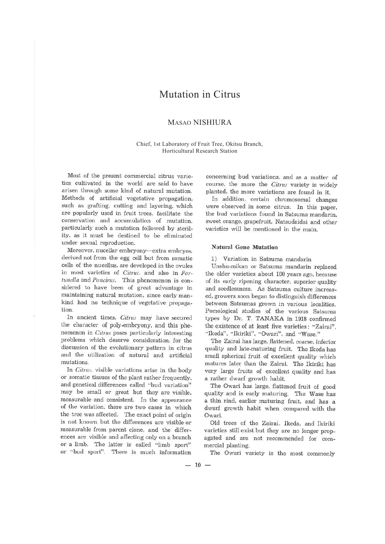# Mutation in Citrus

## MASAO NISHIURA

### Chief, 1st Laboratory of Fruit Tree, Okitsu Branch, Horticultural Research Station

Most of the present commercial citrus varieties cultivated in the world are said to have arisen through some kind of natural mutation. Methods of artificial vegetative propagation. such as grafting, cutting and layering. which are popularly used in fruit trees. facilitate the conservation and accumulation of mutation. particularly such a mutation followed by sterility. as it must be destined to be eliminated under sexual reproduction.

Moreover, nucellar embryony-extra embryos, derived not from the egg cell but from somatic cells of the nucellus. are developed in the ovules in most varieties of *Citrus.* and also in *Fortunella* and *Poncirus.* This phenomenon is considered to have been of great advantage in maintaining natural mutation. since early mankind had no technique of vegetative propagation.

In ancient times. *Citrus* may have secured the character of poly-embryony, and this phenomenon in *Citrus* poses particularly interesting problems which deserve consideration. for the discussion of the evolutionary pattern in citrus and the utilization of natural and artificial mutations.

In *Citrus.* visible variations arise in the body or somatic tissues of the plant rather frequently, and genetical differences called "bud variation" may be small or great but they are visible. measurable and consistent. In the appearance of the variation, there are two cases in which the tree was affected. The exact point of origin is not known but the differences are visible or measurable from parent clone. and the differences are visible and affecting only on a branch or a limb. The latter is called "limb sport" or "bud sport". There is much information

concerning bud variations, and as a matter of course. the more the *Citrus* variety is widely planted. the more variations are found in it.

In addition. certain chromosomal' changes were observed in some citrus. In this paper. the bud variations found in Satsuma mandarin, sweet orange, grapefruit. Natsudaidai and other varieties will be mentioned in the main.

### **Natural Gene Mutation**

1) Variation in Satsuma mandarin

Unshu-mikan or Satsuma mandarin replaced the older varieties about 100 years ago, because of its early ripening character, superior quality and seedlessness. As Satsuma culture increased, growers soon began to distinguish differences between Satsumas grown in various localities. Pomological studies of the various Satsuma types by Dr. T. TANAKA in 1918 confirmed the existence of at least five varieties: "Zairai". "Ikeda", "Ikiriki", "Owari". and "Wase."

The Zairai has large, flattened. coarse. inferior quality and late-maturing fruit. The Ikeda has small spherical fruit of excellent quality which matures later than the Zairai. The Ikiriki has very large fruits of excellent quality and has a rather dwarf growth habit.

The Owari has large. flattened fruit of good quality and is early maturing. The Wase has a thin rind, earlier maturing fruit, and has a dwarf growth habit when compared with the Owari.

Old trees of the Zairai. Ikeda. and Ikiriki varieties still exist but they are no longer propagated and are not recommended for commercial planting.

The Owari variety is the most commonly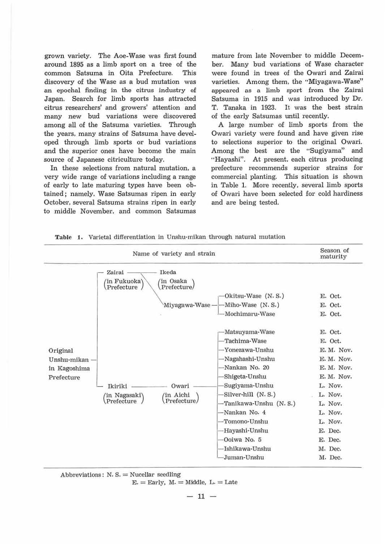grown variety. The Aoe-Wase was first found around 1895 as a limb sport on a tree of the common Satsuma in Oita Prefecture. This discovery of the Wase as a bud mutation was an epochal finding in the citrus industry of Japan. Search for *limb* sports has attracted citrus researchers' and growers' attention and many new bud variations were discovered among all of the Satsuma varieties. Through the years. many strains of Satsuma have developed through limb sports or bud variations and the superior ones have become the main source of Japanese citriculture today.

In these selections from natural mutation, a very wide range of variations including a range of early to late maturing types have been obtained; namely. Wase Satsumas ripen in early October. several Satsuma strains ripen in early to middle November, and common Satsumas

mature from late November to middle December. Many bud variations of Wase character were found in trees of the Owarl and Zairai varieties. Among them. the "Miyagawa-Wase" appeared as a limb sport from the Zairai Satsuma in 1915 and was introduced by Dr. T. Tanaka in 1923. It was the best strain of the early Satsumas until recently.

A large number of limb sports from the Owari variety were found and have given rise to selections superior to the original Owari. Among the best are the "Sugiyama" and "Hayashi". At present. each citrus producing prefecture recommends superior strains for commercial planting. This situation is shown in Table 1. More recently, several limb sports of Owari have been selected for cold hardiness and are being tested.

|  |  |  | <b>Table 1.</b> Varietal differentiation in Unshu-mikan through natural mutation |  |  |  |  |  |
|--|--|--|----------------------------------------------------------------------------------|--|--|--|--|--|
|--|--|--|----------------------------------------------------------------------------------|--|--|--|--|--|

|                                                         | Season of<br>maturity                                                                       |                                                                                                                                                                                                                                                                                   |                                                                                                                                                                               |
|---------------------------------------------------------|---------------------------------------------------------------------------------------------|-----------------------------------------------------------------------------------------------------------------------------------------------------------------------------------------------------------------------------------------------------------------------------------|-------------------------------------------------------------------------------------------------------------------------------------------------------------------------------|
|                                                         | Ikeda<br>Zairai<br>'in Fukuoka'<br>/in Osaka<br>Prefecture<br>Prefecture/<br>Miyagawa-Wase- | Okitsu-Wase (N. S.)<br>-Miho-Wase (N. S.)<br>-Mochimaru-Wase                                                                                                                                                                                                                      | E. Oct.<br>E. Oct.<br>E. Oct.                                                                                                                                                 |
| Original<br>Unshu-mikan -<br>in Kagoshima<br>Prefecture | Owari<br>Ikiriki<br>/in Aichi<br>(in Nagasaki)<br>Prefecture<br>Prefecture/                 | -Matsuyama-Wase<br>Tachima-Wase<br>-Yonezawa-Unshu<br>-Nagahashi-Unshu<br>-Nankan No. 20<br>Shigeta-Unshu<br>Sugiyama-Unshu<br>Silver-hill (N.S.)<br>-Tanikawa-Unshu (N. S.)<br>-Nankan No. 4<br>-Tomono-Unshu<br>-Hayashi-Unshu<br>Ooiwa No. 5<br>-Ishikawa-Unshu<br>Juman-Unshu | E. Oct.<br>E. Oct.<br>E. M. Nov.<br>E. M. Nov.<br>E. M. Nov.<br>E. M. Nov.<br>L. Nov.<br>L. Nov.<br>L. Nov.<br>L. Nov.<br>L. Nov.<br>E. Dec.<br>E. Dec.<br>M. Dec.<br>M. Dec. |



 $E =$  Early,  $M =$  Middle,  $L =$  Late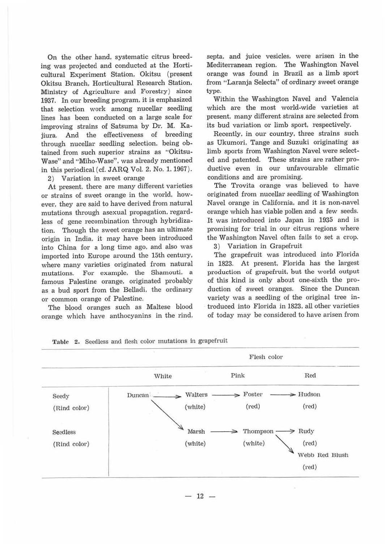On the other hand, systematic citrus breeding was projected and conducted at the Horticultural Experiment Station. Okitsu (present Okitsu Branch. Horticultural Research Station. Ministry of Agriculture and Forestry) since 1937. In our breeding program. it is emphasized that selection work among nucellar seedling lines has been conducted on a large scale for improving strains of Satsuma by Dr. **M.** Kajiura. And the effectiveness of breeding through nucellar seedling selection. being obtained from such superior strains as "Okitsu-Wase" and "Miho-Wase". was akeady mentioned in this periodical (cf. JARQ Vol. 2. No. 1. 1967). 2) Variation in sweet orange

At present, there are many different varieties or strains of sweet orange in the world. however. they are said to have derived from natural mutations through asexual propagation. regardless of gene recombination through hybridization. Though the sweet orange has an ultimate origin in India. it may have been introduced into China for a long time ago. and also was imported into Europe around the 15th century. where many varieties originated from natural mutations. For example, the Shamouti. a famous Palestine orange, originated probably as a bud sport from the Belladi. the ordinary or common orange of Palestine.

The blood oranges such as Maltese blood orange which have anthocyanins in the rind,

septa, and juice vesicles. were arisen in the Mediterranean region. The Washington Navel orange was found in Brazil as a limb sport from "Laranja Selecta" of ordinary sweet orange type.

Within the Washington Navel and Valencia which are the most world-wide varieties at present. many different strains are selected from its bud variation or limb sport, respectively.

Recently. in our country. three strains such as Ukumori. Tange and Suzuki originating as limb sports from Washington Navel were selected and patented. These strains are rather productive even in our unfavourable climatic conditions and are promising.

The Trovita orange was believed to have originated from nucellar seedling of Washington Navel orange in California, and it is non-navel orange which has viable pollen and a few seeds. It was introduced into Japan in 1935 and is promising for trial in our citrus regions where the Washington Navel often fails to set a crop.

3) Variation in Grapefruit

The grapefruit was introduced into Florida in 1823. At present. Florida has the largest production of grapefruit, but the world output of this kind is only about one-sixth the production of sweet oranges. Since the Duncan variety was a seedling of the original tree introduced into Florida in 1823. all other varieties of today may be considered to have arisen from



Table 2, Seedless and flesh color mutations in grapefruit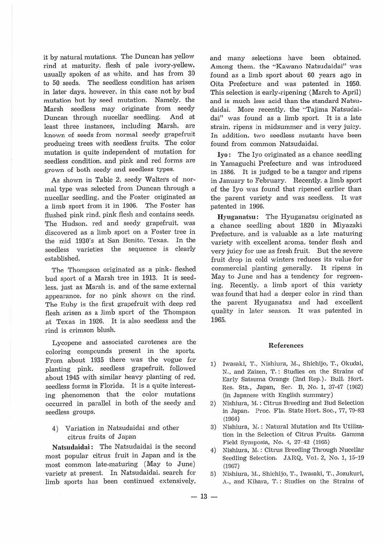it by natural mutations. The Duncan has yellow rind at maturity, flesh of pale ivory-yellew, usually spoken of as white, and has from 30 to 50 seeds. The seedless condition has arisen in later days. however. in this case not by bud mutation but by seed mutation. Namely. the Marsh seedless may originate from seedy Duncan through nucellar seedling. And at least three instances, including Marsh. are known of seeds from normal seedy grapefruit producing trees with seedless fruits. The color mutation is quite independent of mutation for seedless condition. and pink and red forms are grown of both seedy and seedless types.

As shown in Table 2. seedy Walter's of normal type was selected from Duncan through a nucellar seedling. and the Foster originated as a limb sport from it in 1906. The Foster has flushed pink rind, pink flesh and contains seeds. The Hudson. red and seedy grapefruit, was discovered as a limb sport on a Foster tree in the mid 1930's at San Benito. Texas. In the seedless varieties the sequence is clearly established.

The Thompson originated as a pink- fleshed bud sport of a Marsh tree in 1913. It is seedless. just as Marsh is. and of the same external appearance, for no pink shows on the rind. The Ruby is the first grapefruit with deep red flesh arisen as a Jimb sport of the Thompson at Texas in 1926. It is also seedless and the rind is crimson blush.

Lycopene and associated carotenes are the coloring compounds present in the sports. From about 1935 there was the vogue for planting pink, seedless grapefruit, followed about 1945 with similar heavy planting of red. seedless forms in Florida. It is a quite interesting phenomenon that the color mutations occuned in parallel in both of the seedy and seedless groups.

4) Variation in Natsudaidai and other citrus fruits of Japan

**Natsudaidai:** The Natsudaidai is the second most popular citrus fruit in Japan and is the most common late-maturing (May to June) variety at present. In Natsudaidai. search for limb sports has been continued extensively,

and many selections have been obtained. Among them. the "Kawano Natsudaidai" was found as a limb sport about 60 years ago in Oita Prefecture and was patented in 1950. This selection is early-ripening (March to April) and is much less acid than the standard Natsudaidai. More recently. the "Tajima Natsudaidai" was found as a limb sport. It is a late strain. ripens in midsummer and is very juicy. In addition, two seedless mutants have been found from common Natsudaidai.

**Iyo:** The Iyo originated as a chance seedling in Yamaguchi Prefecture and was introduced in 1886. It is judged to be a tangor and ripens in January to February. Recently. a limb sport of the Iyo was found that ripened earlier than the parent variety and was seedless. It was patented in 1966.

**Hyuganatsu :** The Hyuganatsu originated as a chance seedling about 1820 in Miyazaki Prefecture. and is valuable as a late maturing variety with excellent aroma, tender flesh and very juicy for use as fresh fruit. But the severe fruit drop in cold winters reduces its value for commercial planting generally. It ripens in May to June and has a tendency for regreening. Recently. a limb sport of this variety was found that had a deeper color in rind than the parent Hyuganatsu and had excellent quality in later season. It was patented in 1965.

#### **References**

- 1) Iwasaki, T., Nishiura, M., Shichijo, T., Okudai, N., and Zaizen, T.: Studies on the Strains of Early Satsuma Orange (2nd Rep.). Bull. Hort. Res. Sta., Japan, Ser. B, No. 1, 37-47 (1962) (in Japanese with English summary)
- 2) Nishiura, M.: Citrus Breeding and Bud Selection in Japan. Proc. Fla. State Hort. Soc., 77, 79-83 (1964)
- 3) Nishiura, M.: Natural Mutation and Its Utilization in the Selection of Citrus Fruits. Gamma Field Symposia, No. 4, 27-42 (1965)
- 4) Nishiura, M. : Citrus Breeding Through Nucellar Seedling Selection. JARQ, Vol. 2, No. 1, 15-19 (1967)
- 5) Nishiura, M., Shichijo, T., Iwasaki, T., Jozukuri, A., and Kihara, T. : Studies on the Strains of